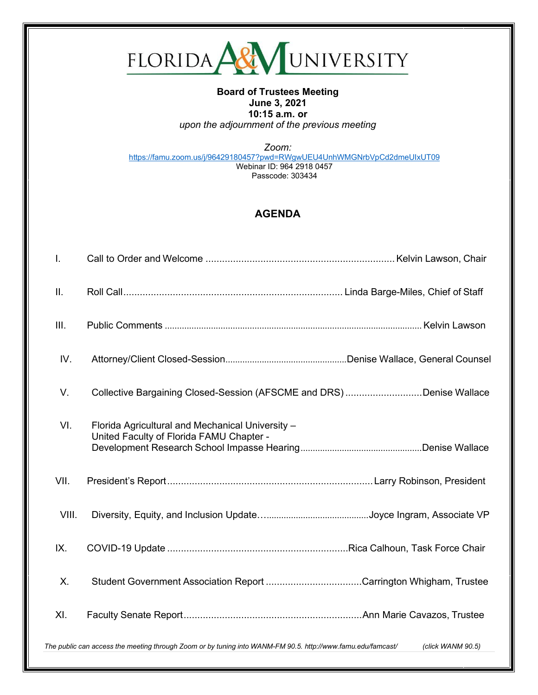

## **Board of Trustees Meeting June 3, 2021 10:15 a.m. or** *upon the adjournment of the previous meeting*

*Zoom:* <https://famu.zoom.us/j/96429180457?pwd=RWgwUEU4UnhWMGNrbVpCd2dmeUIxUT09> Webinar ID: 964 2918 0457 Passcode: 303434

## **AGENDA**

| I.                                                                                                                               |                                                                                              |  |  |  |
|----------------------------------------------------------------------------------------------------------------------------------|----------------------------------------------------------------------------------------------|--|--|--|
| ΙΙ.                                                                                                                              |                                                                                              |  |  |  |
| III.                                                                                                                             |                                                                                              |  |  |  |
| IV.                                                                                                                              |                                                                                              |  |  |  |
| V.                                                                                                                               | Collective Bargaining Closed-Session (AFSCME and DRS) Denise Wallace                         |  |  |  |
| VI.                                                                                                                              | Florida Agricultural and Mechanical University -<br>United Faculty of Florida FAMU Chapter - |  |  |  |
| VII.                                                                                                                             |                                                                                              |  |  |  |
| VIII.                                                                                                                            |                                                                                              |  |  |  |
| IX.                                                                                                                              |                                                                                              |  |  |  |
| Χ.                                                                                                                               | Student Government Association Report Carrington Whigham, Trustee                            |  |  |  |
| XI.                                                                                                                              |                                                                                              |  |  |  |
| The public can access the meeting through Zoom or by tuning into WANM-FM 90.5. http://www.famu.edu/famcast/<br>(click WANM 90.5) |                                                                                              |  |  |  |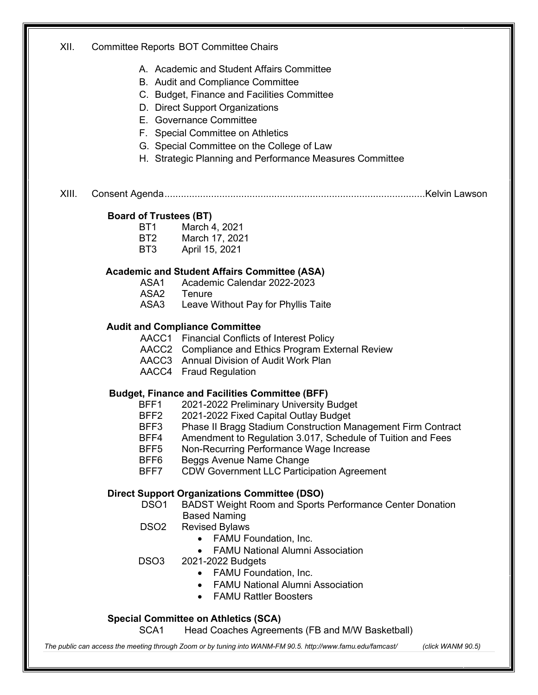| XII.  |                                                     | <b>Committee Reports BOT Committee Chairs</b>                                                   |  |  |
|-------|-----------------------------------------------------|-------------------------------------------------------------------------------------------------|--|--|
|       |                                                     | A. Academic and Student Affairs Committee                                                       |  |  |
|       |                                                     | B. Audit and Compliance Committee                                                               |  |  |
|       |                                                     | C. Budget, Finance and Facilities Committee                                                     |  |  |
|       |                                                     | D. Direct Support Organizations                                                                 |  |  |
|       |                                                     | E. Governance Committee                                                                         |  |  |
|       |                                                     | F. Special Committee on Athletics                                                               |  |  |
|       |                                                     | G. Special Committee on the College of Law                                                      |  |  |
|       |                                                     | H. Strategic Planning and Performance Measures Committee                                        |  |  |
| XIII. |                                                     |                                                                                                 |  |  |
|       | <b>Board of Trustees (BT)</b>                       |                                                                                                 |  |  |
|       | BT <sub>1</sub>                                     | March 4, 2021                                                                                   |  |  |
|       | BT <sub>2</sub>                                     | March 17, 2021                                                                                  |  |  |
|       | BT3                                                 | April 15, 2021                                                                                  |  |  |
|       | <b>Academic and Student Affairs Committee (ASA)</b> |                                                                                                 |  |  |
|       | ASA1                                                | Academic Calendar 2022-2023                                                                     |  |  |
|       |                                                     | ASA2 Tenure                                                                                     |  |  |
|       |                                                     | ASA3 Leave Without Pay for Phyllis Taite                                                        |  |  |
|       |                                                     | <b>Audit and Compliance Committee</b>                                                           |  |  |
|       |                                                     | AACC1 Financial Conflicts of Interest Policy                                                    |  |  |
|       |                                                     | AACC2 Compliance and Ethics Program External Review<br>AACC3 Annual Division of Audit Work Plan |  |  |
|       |                                                     | AACC4 Fraud Regulation                                                                          |  |  |
|       |                                                     | <b>Budget, Finance and Facilities Committee (BFF)</b>                                           |  |  |
|       | BFF1                                                | 2021-2022 Preliminary University Budget                                                         |  |  |
|       | BFF2                                                | 2021-2022 Fixed Capital Outlay Budget                                                           |  |  |
|       | BFF3                                                | Phase II Bragg Stadium Construction Management Firm Contract                                    |  |  |
|       | BFF4                                                | Amendment to Regulation 3.017, Schedule of Tuition and Fees                                     |  |  |
|       | BFF <sub>5</sub>                                    | Non-Recurring Performance Wage Increase                                                         |  |  |
|       | BFF6<br>BFF7                                        | Beggs Avenue Name Change<br><b>CDW Government LLC Participation Agreement</b>                   |  |  |
|       | <b>Direct Support Organizations Committee (DSO)</b> |                                                                                                 |  |  |
|       | DSO <sub>1</sub>                                    | <b>BADST Weight Room and Sports Performance Center Donation</b>                                 |  |  |
|       |                                                     | <b>Based Naming</b>                                                                             |  |  |
|       | DSO <sub>2</sub>                                    | <b>Revised Bylaws</b>                                                                           |  |  |
|       |                                                     | <b>FAMU Foundation, Inc.</b>                                                                    |  |  |
|       |                                                     | <b>FAMU National Alumni Association</b>                                                         |  |  |
|       | DSO <sub>3</sub>                                    | 2021-2022 Budgets                                                                               |  |  |
|       |                                                     | FAMU Foundation, Inc.<br>$\bullet$                                                              |  |  |
|       |                                                     | <b>FAMU National Alumni Association</b>                                                         |  |  |
|       |                                                     | <b>FAMU Rattler Boosters</b>                                                                    |  |  |
|       |                                                     | <b>Special Committee on Athletics (SCA)</b>                                                     |  |  |
|       | SCA1                                                | Head Coaches Agreements (FB and M/W Basketball)                                                 |  |  |

The public can access the meeting through Zoom or by tuning into WANM-FM 90.5.<http://www.famu.edu/famcast/> (click WANM 90.5)